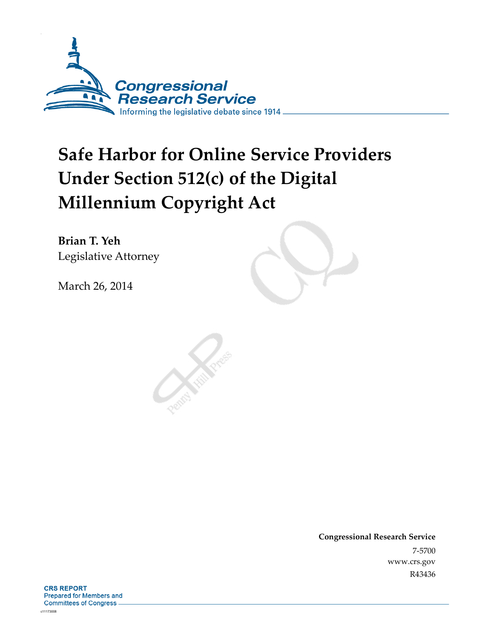

# **Safe Harbor for Online Service Providers Under Section 512(c) of the Digital Millennium Copyright Act**

**Brian T. Yeh**  Legislative Attorney

March 26, 2014

**Congressional Research Service**  7-5700 www.crs.gov R43436

**CRS REPORT** Prepared for Members and **Committees of Congress.**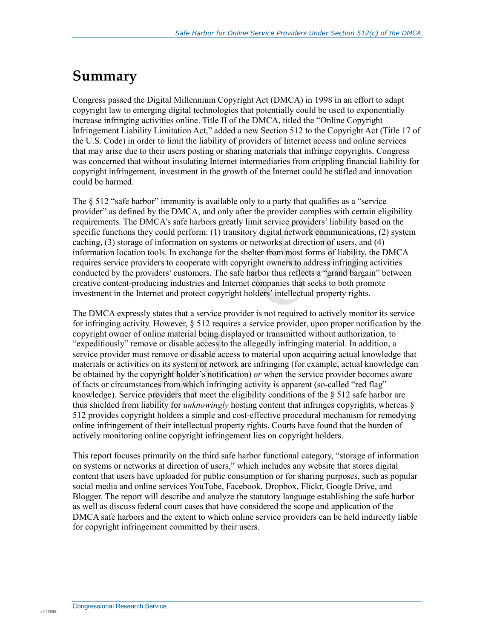### **Summary**

.

Congress passed the Digital Millennium Copyright Act (DMCA) in 1998 in an effort to adapt copyright law to emerging digital technologies that potentially could be used to exponentially increase infringing activities online. Title II of the DMCA, titled the "Online Copyright Infringement Liability Limitation Act," added a new Section 512 to the Copyright Act (Title 17 of the U.S. Code) in order to limit the liability of providers of Internet access and online services that may arise due to their users posting or sharing materials that infringe copyrights. Congress was concerned that without insulating Internet intermediaries from crippling financial liability for copyright infringement, investment in the growth of the Internet could be stifled and innovation could be harmed.

The § 512 "safe harbor" immunity is available only to a party that qualifies as a "service" provider" as defined by the DMCA, and only after the provider complies with certain eligibility requirements. The DMCA's safe harbors greatly limit service providers' liability based on the specific functions they could perform: (1) transitory digital network communications, (2) system caching, (3) storage of information on systems or networks at direction of users, and (4) information location tools. In exchange for the shelter from most forms of liability, the DMCA requires service providers to cooperate with copyright owners to address infringing activities conducted by the providers' customers. The safe harbor thus reflects a "grand bargain" between creative content-producing industries and Internet companies that seeks to both promote investment in the Internet and protect copyright holders' intellectual property rights.

The DMCA expressly states that a service provider is not required to actively monitor its service for infringing activity. However, § 512 requires a service provider, upon proper notification by the copyright owner of online material being displayed or transmitted without authorization, to "expeditiously" remove or disable access to the allegedly infringing material. In addition, a service provider must remove or disable access to material upon acquiring actual knowledge that materials or activities on its system or network are infringing (for example, actual knowledge can be obtained by the copyright holder's notification) *or* when the service provider becomes aware of facts or circumstances from which infringing activity is apparent (so-called "red flag" knowledge). Service providers that meet the eligibility conditions of the § 512 safe harbor are thus shielded from liability for *unknowingly* hosting content that infringes copyrights, whereas § 512 provides copyright holders a simple and cost-effective procedural mechanism for remedying online infringement of their intellectual property rights. Courts have found that the burden of actively monitoring online copyright infringement lies on copyright holders.

This report focuses primarily on the third safe harbor functional category, "storage of information on systems or networks at direction of users," which includes any website that stores digital content that users have uploaded for public consumption or for sharing purposes, such as popular social media and online services YouTube, Facebook, Dropbox, Flickr, Google Drive, and Blogger. The report will describe and analyze the statutory language establishing the safe harbor as well as discuss federal court cases that have considered the scope and application of the DMCA safe harbors and the extent to which online service providers can be held indirectly liable for copyright infringement committed by their users.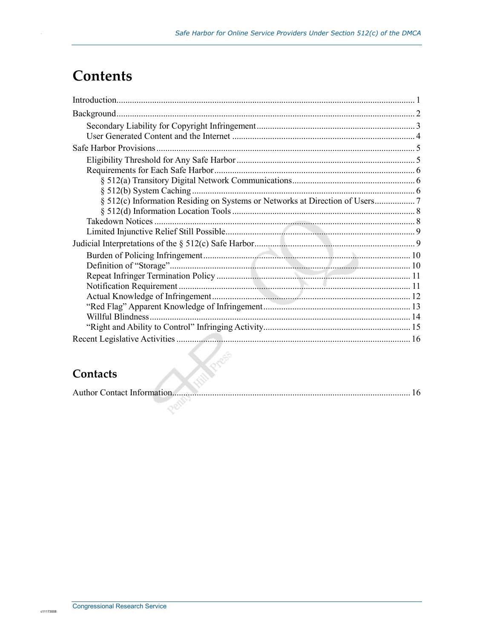## **Contents**

| Willful Blindness. |  |
|--------------------|--|
|                    |  |
|                    |  |

#### Contacts

|--|--|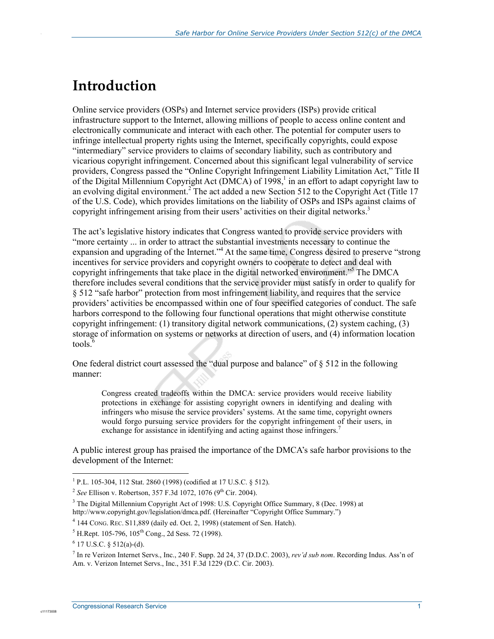### **Introduction**

.

Online service providers (OSPs) and Internet service providers (ISPs) provide critical infrastructure support to the Internet, allowing millions of people to access online content and electronically communicate and interact with each other. The potential for computer users to infringe intellectual property rights using the Internet, specifically copyrights, could expose "intermediary" service providers to claims of secondary liability, such as contributory and vicarious copyright infringement. Concerned about this significant legal vulnerability of service providers, Congress passed the "Online Copyright Infringement Liability Limitation Act," Title II of the Digital Millennium Copyright Act ( $\overline{DMCA}$ ) of 1998,<sup>1</sup> in an effort to adapt copyright law to an evolving digital environment.<sup>2</sup> The act added a new Section 512 to the Copyright Act (Title 17 of the U.S. Code), which provides limitations on the liability of OSPs and ISPs against claims of copyright infringement arising from their users' activities on their digital networks.<sup>3</sup>

The act's legislative history indicates that Congress wanted to provide service providers with "more certainty ... in order to attract the substantial investments necessary to continue the expansion and upgrading of the Internet."<sup>4</sup> At the same time, Congress desired to preserve "strong incentives for service providers and copyright owners to cooperate to detect and deal with copyright infringements that take place in the digital networked environment."<sup>5</sup> The DMCA therefore includes several conditions that the service provider must satisfy in order to qualify for § 512 "safe harbor" protection from most infringement liability, and requires that the service providers' activities be encompassed within one of four specified categories of conduct. The safe harbors correspond to the following four functional operations that might otherwise constitute copyright infringement: (1) transitory digital network communications, (2) system caching, (3) storage of information on systems or networks at direction of users, and (4) information location tools.<sup>6</sup>

One federal district court assessed the "dual purpose and balance" of  $\S 512$  in the following manner:

Congress created tradeoffs within the DMCA: service providers would receive liability protections in exchange for assisting copyright owners in identifying and dealing with infringers who misuse the service providers' systems. At the same time, copyright owners would forgo pursuing service providers for the copyright infringement of their users, in exchange for assistance in identifying and acting against those infringers.<sup>7</sup>

A public interest group has praised the importance of the DMCA's safe harbor provisions to the development of the Internet:

c11173008

7 In re Verizon Internet Servs., Inc., 240 F. Supp. 2d 24, 37 (D.D.C. 2003), *rev'd sub nom*. Recording Indus. Ass'n of Am. v. Verizon Internet Servs., Inc., 351 F.3d 1229 (D.C. Cir. 2003).

 1 P.L. 105-304, 112 Stat. 2860 (1998) (codified at 17 U.S.C. § 512).

<sup>&</sup>lt;sup>2</sup> See Ellison v. Robertson, 357 F.3d 1072, 1076 (9<sup>th</sup> Cir. 2004).

<sup>&</sup>lt;sup>3</sup> The Digital Millennium Copyright Act of 1998: U.S. Copyright Office Summary, 8 (Dec. 1998) at http://www.copyright.gov/legislation/dmca.pdf. (Hereinafter "Copyright Office Summary.")

<sup>4</sup> 144 CONG. REC. S11,889 (daily ed. Oct. 2, 1998) (statement of Sen. Hatch).

 $<sup>5</sup>$  H.Rept. 105-796, 105<sup>th</sup> Cong., 2d Sess. 72 (1998).</sup>

 $6$  17 U.S.C. § 512(a)-(d).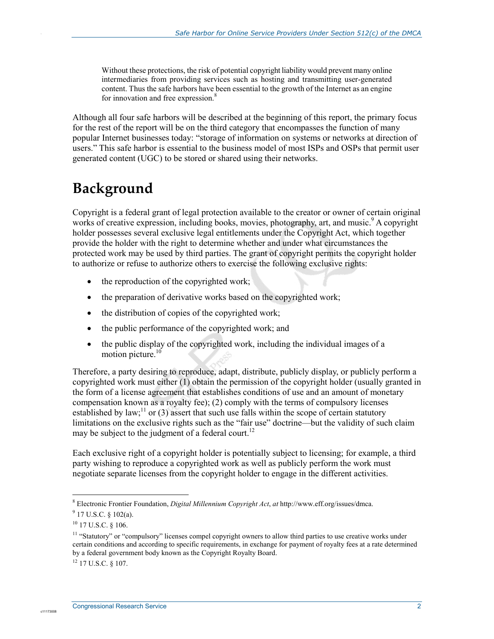Without these protections, the risk of potential copyright liability would prevent many online intermediaries from providing services such as hosting and transmitting user-generated content. Thus the safe harbors have been essential to the growth of the Internet as an engine for innovation and free expression.<sup>8</sup>

Although all four safe harbors will be described at the beginning of this report, the primary focus for the rest of the report will be on the third category that encompasses the function of many popular Internet businesses today: "storage of information on systems or networks at direction of users." This safe harbor is essential to the business model of most ISPs and OSPs that permit user generated content (UGC) to be stored or shared using their networks.

# **Background**

.

Copyright is a federal grant of legal protection available to the creator or owner of certain original works of creative expression, including books, movies, photography, art, and music.<sup>9</sup> A copyright holder possesses several exclusive legal entitlements under the Copyright Act, which together provide the holder with the right to determine whether and under what circumstances the protected work may be used by third parties. The grant of copyright permits the copyright holder to authorize or refuse to authorize others to exercise the following exclusive rights:

- the reproduction of the copyrighted work;
- the preparation of derivative works based on the copyrighted work;
- the distribution of copies of the copyrighted work;
- the public performance of the copyrighted work; and
- the public display of the copyrighted work, including the individual images of a motion picture.<sup>10</sup>

Therefore, a party desiring to reproduce, adapt, distribute, publicly display, or publicly perform a copyrighted work must either (1) obtain the permission of the copyright holder (usually granted in the form of a license agreement that establishes conditions of use and an amount of monetary compensation known as a royalty fee); (2) comply with the terms of compulsory licenses established by law;<sup>11</sup> or (3) assert that such use falls within the scope of certain statutory limitations on the exclusive rights such as the "fair use" doctrine—but the validity of such claim may be subject to the judgment of a federal court.<sup>12</sup>

Each exclusive right of a copyright holder is potentially subject to licensing; for example, a third party wishing to reproduce a copyrighted work as well as publicly perform the work must negotiate separate licenses from the copyright holder to engage in the different activities.

1

<sup>8</sup> Electronic Frontier Foundation, *Digital Millennium Copyright Act*, *at* http://www.eff.org/issues/dmca.

 $9$  17 U.S.C. § 102(a).

<sup>10 17</sup> U.S.C. § 106.

<sup>&</sup>lt;sup>11</sup> "Statutory" or "compulsory" licenses compel copyright owners to allow third parties to use creative works under certain conditions and according to specific requirements, in exchange for payment of royalty fees at a rate determined by a federal government body known as the Copyright Royalty Board.

<sup>12 17</sup> U.S.C. § 107.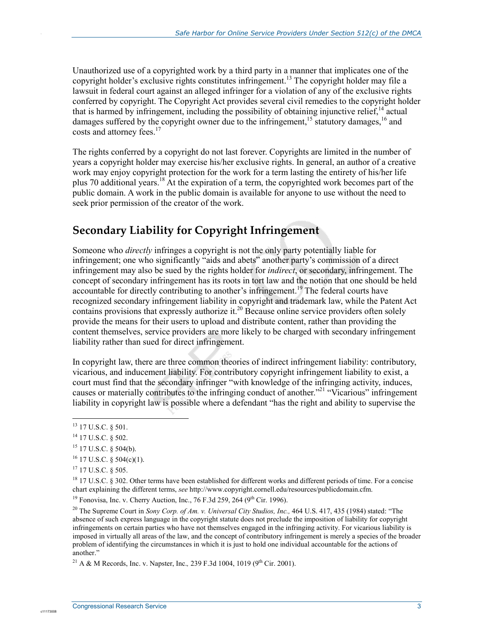Unauthorized use of a copyrighted work by a third party in a manner that implicates one of the copyright holder's exclusive rights constitutes infringement.<sup>13</sup> The copyright holder may file a lawsuit in federal court against an alleged infringer for a violation of any of the exclusive rights conferred by copyright. The Copyright Act provides several civil remedies to the copyright holder that is harmed by infringement, including the possibility of obtaining injunctive relief, $14$  actual damages suffered by the copyright owner due to the infringement,<sup>15</sup> statutory damages,<sup>16</sup> and costs and attorney fees.<sup>17</sup>

The rights conferred by a copyright do not last forever. Copyrights are limited in the number of years a copyright holder may exercise his/her exclusive rights. In general, an author of a creative work may enjoy copyright protection for the work for a term lasting the entirety of his/her life plus 70 additional years.<sup>18</sup> At the expiration of a term, the copyrighted work becomes part of the public domain. A work in the public domain is available for anyone to use without the need to seek prior permission of the creator of the work.

#### **Secondary Liability for Copyright Infringement**

Someone who *directly* infringes a copyright is not the only party potentially liable for infringement; one who significantly "aids and abets" another party's commission of a direct infringement may also be sued by the rights holder for *indirect*, or secondary, infringement. The concept of secondary infringement has its roots in tort law and the notion that one should be held accountable for directly contributing to another's infringement.<sup>19</sup> The federal courts have recognized secondary infringement liability in copyright and trademark law, while the Patent Act contains provisions that expressly authorize it.<sup>20</sup> Because online service providers often solely provide the means for their users to upload and distribute content, rather than providing the content themselves, service providers are more likely to be charged with secondary infringement liability rather than sued for direct infringement.

In copyright law, there are three common theories of indirect infringement liability: contributory, vicarious, and inducement liability. For contributory copyright infringement liability to exist, a court must find that the secondary infringer "with knowledge of the infringing activity, induces, causes or materially contributes to the infringing conduct of another.<sup>"21</sup> "Vicarious" infringement liability in copyright law is possible where a defendant "has the right and ability to supervise the

.

 $\overline{a}$ <sup>13</sup> 17 U.S.C. § 501.

<sup>&</sup>lt;sup>14</sup> 17 U.S.C. § 502.

<sup>15 17</sup> U.S.C. § 504(b).

 $16$  17 U.S.C. § 504(c)(1).

<sup>17 17</sup> U.S.C. § 505.

<sup>&</sup>lt;sup>18</sup> 17 U.S.C. § 302. Other terms have been established for different works and different periods of time. For a concise chart explaining the different terms, *see* http://www.copyright.cornell.edu/resources/publicdomain.cfm.

<sup>&</sup>lt;sup>19</sup> Fonovisa, Inc. v. Cherry Auction, Inc., 76 F.3d 259, 264 (9<sup>th</sup> Cir. 1996).

<sup>&</sup>lt;sup>20</sup> The Supreme Court in *Sony Corp. of Am. v. Universal City Studios, Inc.*, 464 U.S. 417, 435 (1984) stated: "The absence of such express language in the copyright statute does not preclude the imposition of liability for copyright infringements on certain parties who have not themselves engaged in the infringing activity. For vicarious liability is imposed in virtually all areas of the law, and the concept of contributory infringement is merely a species of the broader problem of identifying the circumstances in which it is just to hold one individual accountable for the actions of another."

<sup>&</sup>lt;sup>21</sup> A & M Records, Inc. v. Napster, Inc., 239 F.3d 1004, 1019 (9<sup>th</sup> Cir. 2001).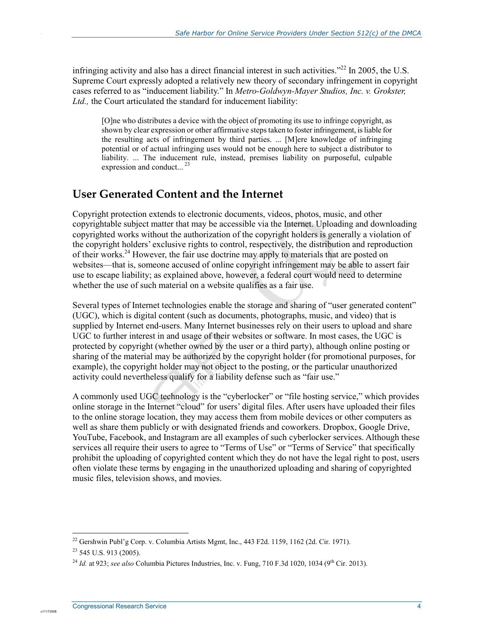infringing activity and also has a direct financial interest in such activities."<sup>22</sup> In 2005, the U.S. Supreme Court expressly adopted a relatively new theory of secondary infringement in copyright cases referred to as "inducement liability." In *Metro-Goldwyn-Mayer Studios, Inc. v. Grokster,*  Ltd., the Court articulated the standard for inducement liability:

[O]ne who distributes a device with the object of promoting its use to infringe copyright, as shown by clear expression or other affirmative steps taken to foster infringement, is liable for the resulting acts of infringement by third parties. ... [M]ere knowledge of infringing potential or of actual infringing uses would not be enough here to subject a distributor to liability. ... The inducement rule, instead, premises liability on purposeful, culpable expression and conduct...  $^{23}$ 

#### **User Generated Content and the Internet**

Copyright protection extends to electronic documents, videos, photos, music, and other copyrightable subject matter that may be accessible via the Internet. Uploading and downloading copyrighted works without the authorization of the copyright holders is generally a violation of the copyright holders' exclusive rights to control, respectively, the distribution and reproduction of their works.<sup>24</sup> However, the fair use doctrine may apply to materials that are posted on websites—that is, someone accused of online copyright infringement may be able to assert fair use to escape liability; as explained above, however, a federal court would need to determine whether the use of such material on a website qualifies as a fair use.

Several types of Internet technologies enable the storage and sharing of "user generated content" (UGC), which is digital content (such as documents, photographs, music, and video) that is supplied by Internet end-users. Many Internet businesses rely on their users to upload and share UGC to further interest in and usage of their websites or software. In most cases, the UGC is protected by copyright (whether owned by the user or a third party), although online posting or sharing of the material may be authorized by the copyright holder (for promotional purposes, for example), the copyright holder may not object to the posting, or the particular unauthorized activity could nevertheless qualify for a liability defense such as "fair use."

A commonly used UGC technology is the "cyberlocker" or "file hosting service," which provides online storage in the Internet "cloud" for users' digital files. After users have uploaded their files to the online storage location, they may access them from mobile devices or other computers as well as share them publicly or with designated friends and coworkers. Dropbox, Google Drive, YouTube, Facebook, and Instagram are all examples of such cyberlocker services. Although these services all require their users to agree to "Terms of Use" or "Terms of Service" that specifically prohibit the uploading of copyrighted content which they do not have the legal right to post, users often violate these terms by engaging in the unauthorized uploading and sharing of copyrighted music files, television shows, and movies.

1

c11173008

<sup>&</sup>lt;sup>22</sup> Gershwin Publ'g Corp. v. Columbia Artists Mgmt, Inc., 443 F2d. 1159, 1162 (2d. Cir. 1971).

 $23$  545 U.S. 913 (2005).

<sup>&</sup>lt;sup>24</sup> *Id.* at 923: *see also* Columbia Pictures Industries, Inc. v. Fung, 710 F.3d 1020, 1034 (9<sup>th</sup> Cir. 2013).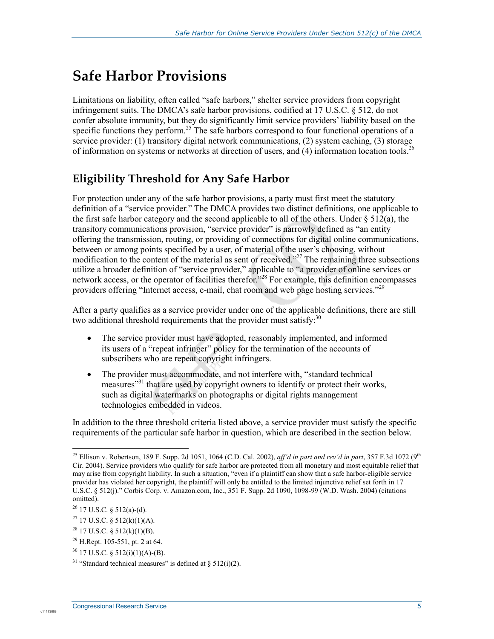# **Safe Harbor Provisions**

Limitations on liability, often called "safe harbors," shelter service providers from copyright infringement suits. The DMCA's safe harbor provisions, codified at 17 U.S.C. § 512, do not confer absolute immunity, but they do significantly limit service providers' liability based on the specific functions they perform.<sup>25</sup> The safe harbors correspond to four functional operations of a service provider: (1) transitory digital network communications, (2) system caching, (3) storage of information on systems or networks at direction of users, and (4) information location tools.<sup>26</sup>

### **Eligibility Threshold for Any Safe Harbor**

For protection under any of the safe harbor provisions, a party must first meet the statutory definition of a "service provider." The DMCA provides two distinct definitions, one applicable to the first safe harbor category and the second applicable to all of the others. Under  $\S 512(a)$ , the transitory communications provision, "service provider" is narrowly defined as "an entity offering the transmission, routing, or providing of connections for digital online communications, between or among points specified by a user, of material of the user's choosing, without modification to the content of the material as sent or received."<sup>27</sup> The remaining three subsections utilize a broader definition of "service provider," applicable to "a provider of online services or network access, or the operator of facilities therefor.<sup>728</sup> For example, this definition encompasses providers offering "Internet access, e-mail, chat room and web page hosting services."<sup>29</sup>

After a party qualifies as a service provider under one of the applicable definitions, there are still two additional threshold requirements that the provider must satisfy:  $30$ 

- The service provider must have adopted, reasonably implemented, and informed its users of a "repeat infringer" policy for the termination of the accounts of subscribers who are repeat copyright infringers.
- The provider must accommodate, and not interfere with, "standard technical measures<sup>331</sup> that are used by copyright owners to identify or protect their works, such as digital watermarks on photographs or digital rights management technologies embedded in videos.

In addition to the three threshold criteria listed above, a service provider must satisfy the specific requirements of the particular safe harbor in question, which are described in the section below.

1

c1117300

<sup>&</sup>lt;sup>25</sup> Ellison v. Robertson, 189 F. Supp. 2d 1051, 1064 (C.D. Cal. 2002), *aff'd in part and rev'd in part*, 357 F.3d 1072 (9<sup>th</sup> Cir. 2004). Service providers who qualify for safe harbor are protected from all monetary and most equitable relief that may arise from copyright liability. In such a situation, "even if a plaintiff can show that a safe harbor-eligible service provider has violated her copyright, the plaintiff will only be entitled to the limited injunctive relief set forth in 17 U.S.C. § 512(j)." Corbis Corp. v. Amazon.com, Inc., 351 F. Supp. 2d 1090, 1098-99 (W.D. Wash. 2004) (citations omitted).

 $26$  17 U.S.C. § 512(a)-(d).

<sup>&</sup>lt;sup>27</sup> 17 U.S.C. § 512(k)(1)(A).

 $^{28}$  17 U.S.C. § 512(k)(1)(B).

<sup>29</sup> H.Rept. 105-551, pt. 2 at 64.

 $30$  17 U.S.C. § 512(i)(1)(A)-(B).

<sup>&</sup>lt;sup>31</sup> "Standard technical measures" is defined at  $\S 512(i)(2)$ .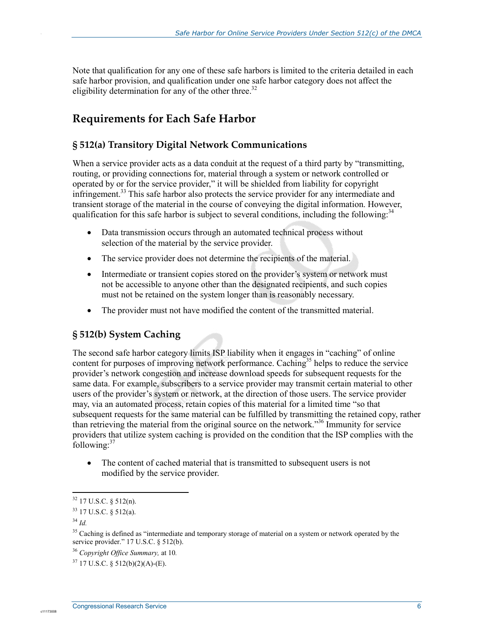Note that qualification for any one of these safe harbors is limited to the criteria detailed in each safe harbor provision, and qualification under one safe harbor category does not affect the eligibility determination for any of the other three.<sup>32</sup>

#### **Requirements for Each Safe Harbor**

#### **§ 512(a) Transitory Digital Network Communications**

When a service provider acts as a data conduit at the request of a third party by "transmitting, routing, or providing connections for, material through a system or network controlled or operated by or for the service provider," it will be shielded from liability for copyright infringement.<sup>33</sup> This safe harbor also protects the service provider for any intermediate and transient storage of the material in the course of conveying the digital information. However, qualification for this safe harbor is subject to several conditions, including the following:  $34$ 

- Data transmission occurs through an automated technical process without selection of the material by the service provider.
- The service provider does not determine the recipients of the material.
- Intermediate or transient copies stored on the provider's system or network must not be accessible to anyone other than the designated recipients, and such copies must not be retained on the system longer than is reasonably necessary.
- The provider must not have modified the content of the transmitted material.

#### **§ 512(b) System Caching**

The second safe harbor category limits ISP liability when it engages in "caching" of online content for purposes of improving network performance. Caching<sup>35</sup> helps to reduce the service provider's network congestion and increase download speeds for subsequent requests for the same data. For example, subscribers to a service provider may transmit certain material to other users of the provider's system or network, at the direction of those users. The service provider may, via an automated process, retain copies of this material for a limited time "so that subsequent requests for the same material can be fulfilled by transmitting the retained copy, rather than retrieving the material from the original source on the network."36 Immunity for service providers that utilize system caching is provided on the condition that the ISP complies with the  $\int$ following: $37$ 

• The content of cached material that is transmitted to subsequent users is not modified by the service provider.

c11173008

1

 $32$  17 U.S.C. § 512(n).

 $33$  17 U.S.C.  $\frac{1}{2}$  512(a).

<sup>34</sup> *Id.*

<sup>&</sup>lt;sup>35</sup> Caching is defined as "intermediate and temporary storage of material on a system or network operated by the service provider." 17 U.S.C. § 512(b).

<sup>36</sup> *Copyright Office Summary,* at 10*.*

 $37$  17 U.S.C. § 512(b)(2)(A)-(E).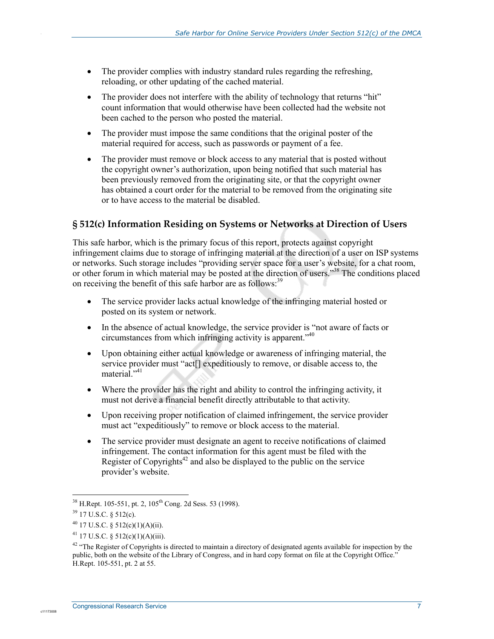- The provider complies with industry standard rules regarding the refreshing, reloading, or other updating of the cached material.
- The provider does not interfere with the ability of technology that returns "hit" count information that would otherwise have been collected had the website not been cached to the person who posted the material.
- The provider must impose the same conditions that the original poster of the material required for access, such as passwords or payment of a fee.
- The provider must remove or block access to any material that is posted without the copyright owner's authorization, upon being notified that such material has been previously removed from the originating site, or that the copyright owner has obtained a court order for the material to be removed from the originating site or to have access to the material be disabled.

#### **§ 512(c) Information Residing on Systems or Networks at Direction of Users**

This safe harbor, which is the primary focus of this report, protects against copyright infringement claims due to storage of infringing material at the direction of a user on ISP systems or networks. Such storage includes "providing server space for a user's website, for a chat room, or other forum in which material may be posted at the direction of users."38 The conditions placed on receiving the benefit of this safe harbor are as follows:<sup>39</sup>

- The service provider lacks actual knowledge of the infringing material hosted or posted on its system or network.
- In the absence of actual knowledge, the service provider is "not aware of facts or circumstances from which infringing activity is apparent."40
- Upon obtaining either actual knowledge or awareness of infringing material, the service provider must "act[] expeditiously to remove, or disable access to, the material."<sup>41</sup>
- Where the provider has the right and ability to control the infringing activity, it must not derive a financial benefit directly attributable to that activity.
- Upon receiving proper notification of claimed infringement, the service provider must act "expeditiously" to remove or block access to the material.
- The service provider must designate an agent to receive notifications of claimed infringement. The contact information for this agent must be filed with the Register of Copyrights<sup>42</sup> and also be displayed to the public on the service provider's website.

.

<sup>1</sup>  $38$  H.Rept. 105-551, pt. 2, 105<sup>th</sup> Cong. 2d Sess. 53 (1998).

 $39$  17 U.S.C. § 512(c).

 $^{40}$  17 U.S.C. § 512(c)(1)(A)(ii).

<sup>&</sup>lt;sup>41</sup> 17 U.S.C. § 512(c)(1)(A)(iii).

 $42$  "The Register of Copyrights is directed to maintain a directory of designated agents available for inspection by the public, both on the website of the Library of Congress, and in hard copy format on file at the Copyright Office." H.Rept. 105-551, pt. 2 at 55.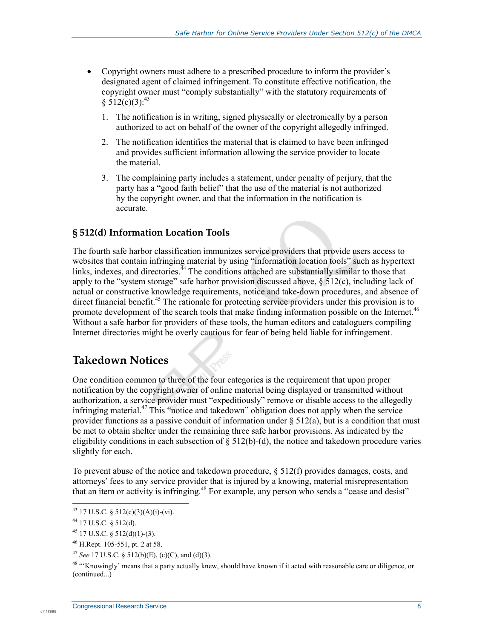- Copyright owners must adhere to a prescribed procedure to inform the provider's designated agent of claimed infringement. To constitute effective notification, the copyright owner must "comply substantially" with the statutory requirements of  $$512(c)(3):^{43}$ 
	- 1. The notification is in writing, signed physically or electronically by a person authorized to act on behalf of the owner of the copyright allegedly infringed.
	- 2. The notification identifies the material that is claimed to have been infringed and provides sufficient information allowing the service provider to locate the material.
	- 3. The complaining party includes a statement, under penalty of perjury, that the party has a "good faith belief" that the use of the material is not authorized by the copyright owner, and that the information in the notification is accurate.

#### **§ 512(d) Information Location Tools**

The fourth safe harbor classification immunizes service providers that provide users access to websites that contain infringing material by using "information location tools" such as hypertext links, indexes, and directories.<sup> $44$ </sup> The conditions attached are substantially similar to those that apply to the "system storage" safe harbor provision discussed above, § 512(c), including lack of actual or constructive knowledge requirements, notice and take-down procedures, and absence of direct financial benefit.<sup>45</sup> The rationale for protecting service providers under this provision is to promote development of the search tools that make finding information possible on the Internet.<sup>46</sup> Without a safe harbor for providers of these tools, the human editors and cataloguers compiling Internet directories might be overly cautious for fear of being held liable for infringement.

#### **Takedown Notices**

One condition common to three of the four categories is the requirement that upon proper notification by the copyright owner of online material being displayed or transmitted without authorization, a service provider must "expeditiously" remove or disable access to the allegedly infringing material.47 This "notice and takedown" obligation does not apply when the service provider functions as a passive conduit of information under  $\S 512(a)$ , but is a condition that must be met to obtain shelter under the remaining three safe harbor provisions. As indicated by the eligibility conditions in each subsection of  $\S 512(b)$ -(d), the notice and takedown procedure varies slightly for each.

To prevent abuse of the notice and takedown procedure,  $\S 512(f)$  provides damages, costs, and attorneys' fees to any service provider that is injured by a knowing, material misrepresentation that an item or activity is infringing.<sup>48</sup> For example, any person who sends a "cease and desist"

1

c1117300

<sup>&</sup>lt;sup>43</sup> 17 U.S.C. § 512(c)(3)(A)(i)-(vi).

<sup>44 17</sup> U.S.C. § 512(d).

 $45$  17 U.S.C. § 512(d)(1)-(3).

<sup>46</sup> H.Rept. 105-551, pt. 2 at 58.

<sup>47</sup> *See* 17 U.S.C. § 512(b)(E), (c)(C), and (d)(3).

<sup>&</sup>lt;sup>48</sup> "Knowingly' means that a party actually knew, should have known if it acted with reasonable care or diligence, or (continued...)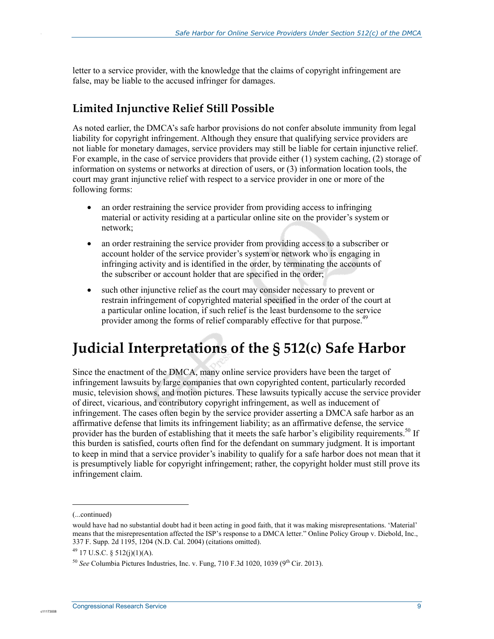letter to a service provider, with the knowledge that the claims of copyright infringement are false, may be liable to the accused infringer for damages.

#### **Limited Injunctive Relief Still Possible**

As noted earlier, the DMCA's safe harbor provisions do not confer absolute immunity from legal liability for copyright infringement. Although they ensure that qualifying service providers are not liable for monetary damages, service providers may still be liable for certain injunctive relief. For example, in the case of service providers that provide either (1) system caching, (2) storage of information on systems or networks at direction of users, or (3) information location tools, the court may grant injunctive relief with respect to a service provider in one or more of the following forms:

- an order restraining the service provider from providing access to infringing material or activity residing at a particular online site on the provider's system or network;
- an order restraining the service provider from providing access to a subscriber or account holder of the service provider's system or network who is engaging in infringing activity and is identified in the order, by terminating the accounts of the subscriber or account holder that are specified in the order;
- such other injunctive relief as the court may consider necessary to prevent or restrain infringement of copyrighted material specified in the order of the court at a particular online location, if such relief is the least burdensome to the service provider among the forms of relief comparably effective for that purpose.<sup>49</sup>

# **Judicial Interpretations of the § 512(c) Safe Harbor**

Since the enactment of the DMCA, many online service providers have been the target of infringement lawsuits by large companies that own copyrighted content, particularly recorded music, television shows, and motion pictures. These lawsuits typically accuse the service provider of direct, vicarious, and contributory copyright infringement, as well as inducement of infringement. The cases often begin by the service provider asserting a DMCA safe harbor as an affirmative defense that limits its infringement liability; as an affirmative defense, the service provider has the burden of establishing that it meets the safe harbor's eligibility requirements.<sup>50</sup> If this burden is satisfied, courts often find for the defendant on summary judgment. It is important to keep in mind that a service provider's inability to qualify for a safe harbor does not mean that it is presumptively liable for copyright infringement; rather, the copyright holder must still prove its infringement claim.

 $\overline{a}$ 

c1117300

<sup>(...</sup>continued)

would have had no substantial doubt had it been acting in good faith, that it was making misrepresentations. 'Material' means that the misrepresentation affected the ISP's response to a DMCA letter." Online Policy Group v. Diebold, Inc., 337 F. Supp. 2d 1195, 1204 (N.D. Cal. 2004) (citations omitted).

 $^{49}$  17 U.S.C. § 512(j)(1)(A).

 $50$  *See* Columbia Pictures Industries, Inc. v. Fung, 710 F.3d 1020, 1039 (9<sup>th</sup> Cir. 2013).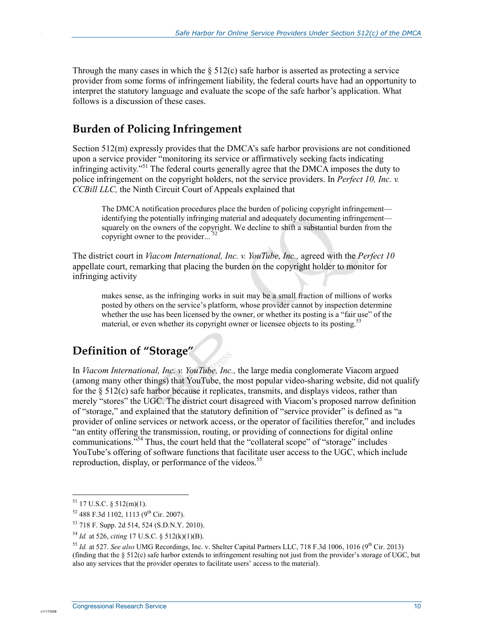Through the many cases in which the  $\S$  512(c) safe harbor is asserted as protecting a service provider from some forms of infringement liability, the federal courts have had an opportunity to interpret the statutory language and evaluate the scope of the safe harbor's application. What follows is a discussion of these cases.

#### **Burden of Policing Infringement**

Section 512(m) expressly provides that the DMCA's safe harbor provisions are not conditioned upon a service provider "monitoring its service or affirmatively seeking facts indicating infringing activity."51 The federal courts generally agree that the DMCA imposes the duty to police infringement on the copyright holders, not the service providers. In *Perfect 10, Inc. v. CCBill LLC,* the Ninth Circuit Court of Appeals explained that

The DMCA notification procedures place the burden of policing copyright infringement identifying the potentially infringing material and adequately documenting infringement squarely on the owners of the copyright. We decline to shift a substantial burden from the copyright owner to the provider...

The district court in *Viacom International, Inc. v. YouTube, Inc.,* agreed with the *Perfect 10*  appellate court, remarking that placing the burden on the copyright holder to monitor for infringing activity

makes sense, as the infringing works in suit may be a small fraction of millions of works posted by others on the service's platform, whose provider cannot by inspection determine whether the use has been licensed by the owner, or whether its posting is a "fair use" of the material, or even whether its copyright owner or licensee objects to its posting.<sup>53</sup>

#### **Definition of "Storage"**

In *Viacom International, Inc. v. YouTube, Inc.,* the large media conglomerate Viacom argued (among many other things) that YouTube, the most popular video-sharing website, did not qualify for the  $\S 512(c)$  safe harbor because it replicates, transmits, and displays videos, rather than merely "stores" the UGC. The district court disagreed with Viacom's proposed narrow definition of "storage," and explained that the statutory definition of "service provider" is defined as "a provider of online services or network access, or the operator of facilities therefor," and includes <sup>"</sup> an entity offering the transmission, routing, or providing of connections for digital online communications.<sup>554</sup> Thus, the court held that the "collateral scope" of "storage" includes YouTube's offering of software functions that facilitate user access to the UGC, which include reproduction, display, or performance of the videos.<sup>55</sup>

1

c1117300

 $51$  17 U.S.C. § 512(m)(1).

 $52$  488 F.3d 1102, 1113 (9<sup>th</sup> Cir. 2007).

<sup>53 718</sup> F. Supp. 2d 514, 524 (S.D.N.Y. 2010).

<sup>54</sup> *Id.* at 526, *citing* 17 U.S.C. § 512(k)(1)(B).

<sup>&</sup>lt;sup>55</sup> *Id.* at 527. *See also* UMG Recordings, Inc. v. Shelter Capital Partners LLC, 718 F.3d 1006, 1016 (9<sup>th</sup> Cir. 2013) (finding that the § 512(c) safe harbor extends to infringement resulting not just from the provider's storage of UGC, but also any services that the provider operates to facilitate users' access to the material).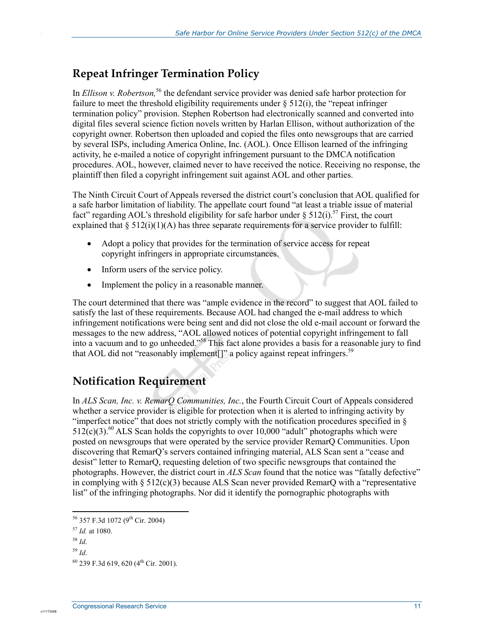#### **Repeat Infringer Termination Policy**

In *Ellison v. Robertson*,<sup>56</sup> the defendant service provider was denied safe harbor protection for failure to meet the threshold eligibility requirements under  $\S$  512(i), the "repeat infringer termination policy" provision. Stephen Robertson had electronically scanned and converted into digital files several science fiction novels written by Harlan Ellison, without authorization of the copyright owner. Robertson then uploaded and copied the files onto newsgroups that are carried by several ISPs, including America Online, Inc. (AOL). Once Ellison learned of the infringing activity, he e-mailed a notice of copyright infringement pursuant to the DMCA notification procedures. AOL, however, claimed never to have received the notice. Receiving no response, the plaintiff then filed a copyright infringement suit against AOL and other parties.

The Ninth Circuit Court of Appeals reversed the district court's conclusion that AOL qualified for a safe harbor limitation of liability. The appellate court found "at least a triable issue of material fact" regarding AOL's threshold eligibility for safe harbor under  $\S 512(i)$ .<sup>57</sup> First, the court explained that  $\S 512(i)(1)(A)$  has three separate requirements for a service provider to fulfill:

- Adopt a policy that provides for the termination of service access for repeat copyright infringers in appropriate circumstances.
- Inform users of the service policy.
- Implement the policy in a reasonable manner.

The court determined that there was "ample evidence in the record" to suggest that AOL failed to satisfy the last of these requirements. Because AOL had changed the e-mail address to which infringement notifications were being sent and did not close the old e-mail account or forward the messages to the new address, "AOL allowed notices of potential copyright infringement to fall into a vacuum and to go unheeded."58 This fact alone provides a basis for a reasonable jury to find that AOL did not "reasonably implement<sup>[]"</sup> a policy against repeat infringers.<sup>59</sup>

### **Notification Requirement**

In *ALS Scan, Inc. v. RemarQ Communities, Inc.*, the Fourth Circuit Court of Appeals considered whether a service provider is eligible for protection when it is alerted to infringing activity by "imperfect notice" that does not strictly comply with the notification procedures specified in §  $512(c)(3)$ .<sup>60</sup> ALS Scan holds the copyrights to over 10,000 "adult" photographs which were posted on newsgroups that were operated by the service provider RemarQ Communities. Upon discovering that RemarQ's servers contained infringing material, ALS Scan sent a "cease and desist" letter to RemarQ, requesting deletion of two specific newsgroups that contained the photographs. However, the district court in *ALS Scan* found that the notice was "fatally defective" in complying with  $\S 512(c)(3)$  because ALS Scan never provided RemarQ with a "representative" list" of the infringing photographs. Nor did it identify the pornographic photographs with

1

.

<sup>56 357</sup> F.3d 1072 (9<sup>th</sup> Cir. 2004)

<sup>57</sup> *Id.* at 1080.

<sup>58</sup> *Id*.

<sup>59</sup> *Id*.

 $^{60}$  239 F.3d 619, 620 (4<sup>th</sup> Cir. 2001).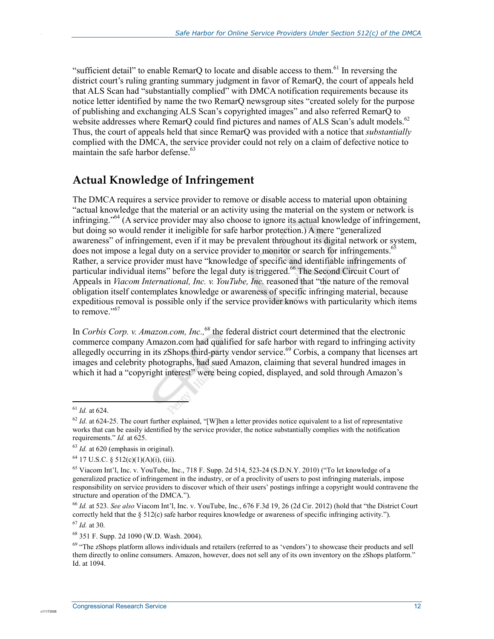"sufficient detail" to enable RemarQ to locate and disable access to them.<sup>61</sup> In reversing the district court's ruling granting summary judgment in favor of RemarQ, the court of appeals held that ALS Scan had "substantially complied" with DMCA notification requirements because its notice letter identified by name the two RemarQ newsgroup sites "created solely for the purpose of publishing and exchanging ALS Scan's copyrighted images" and also referred RemarQ to website addresses where RemarQ could find pictures and names of ALS Scan's adult models.<sup>62</sup> Thus, the court of appeals held that since RemarQ was provided with a notice that *substantially* complied with the DMCA, the service provider could not rely on a claim of defective notice to maintain the safe harbor defense.<sup>63</sup>

#### **Actual Knowledge of Infringement**

The DMCA requires a service provider to remove or disable access to material upon obtaining "actual knowledge that the material or an activity using the material on the system or network is infringing."64 (A service provider may also choose to ignore its actual knowledge of infringement, but doing so would render it ineligible for safe harbor protection.) A mere "generalized awareness" of infringement, even if it may be prevalent throughout its digital network or system, does not impose a legal duty on a service provider to monitor or search for infringements.<sup>65</sup> Rather, a service provider must have "knowledge of specific and identifiable infringements of particular individual items" before the legal duty is triggered.<sup>66</sup> The Second Circuit Court of Appeals in *Viacom International, Inc. v. YouTube, Inc.* reasoned that "the nature of the removal obligation itself contemplates knowledge or awareness of specific infringing material, because expeditious removal is possible only if the service provider knows with particularity which items to remove."<sup>67</sup>

In *Corbis Corp. v. Amazon.com, Inc.*,<sup>68</sup> the federal district court determined that the electronic commerce company Amazon.com had qualified for safe harbor with regard to infringing activity allegedly occurring in its zShops third-party vendor service.<sup>69</sup> Corbis, a company that licenses art images and celebrity photographs, had sued Amazon, claiming that several hundred images in which it had a "copyright interest" were being copied, displayed, and sold through Amazon's

1

.

<sup>61</sup> *Id.* at 624.

 $62$  *Id.* at 624-25. The court further explained, "[W]hen a letter provides notice equivalent to a list of representative works that can be easily identified by the service provider, the notice substantially complies with the notification requirements." *Id.* at 625.

<sup>63</sup> *Id.* at 620 (emphasis in original).

 $64$  17 U.S.C. § 512(c)(1)(A)(i), (iii).

<sup>&</sup>lt;sup>65</sup> Viacom Int'l, Inc. v. YouTube, Inc., 718 F. Supp. 2d 514, 523-24 (S.D.N.Y. 2010) ("To let knowledge of a generalized practice of infringement in the industry, or of a proclivity of users to post infringing materials, impose responsibility on service providers to discover which of their users' postings infringe a copyright would contravene the structure and operation of the DMCA.").

<sup>66</sup> *Id.* at 523. *See also* Viacom Int'l, Inc. v. YouTube, Inc., 676 F.3d 19, 26 (2d Cir. 2012) (hold that "the District Court correctly held that the § 512(c) safe harbor requires knowledge or awareness of specific infringing activity.").

<sup>67</sup> *Id.* at 30.

<sup>68 351</sup> F. Supp. 2d 1090 (W.D. Wash. 2004).

<sup>&</sup>lt;sup>69</sup> "The zShops platform allows individuals and retailers (referred to as 'vendors') to showcase their products and sell them directly to online consumers. Amazon, however, does not sell any of its own inventory on the zShops platform." Id. at 1094.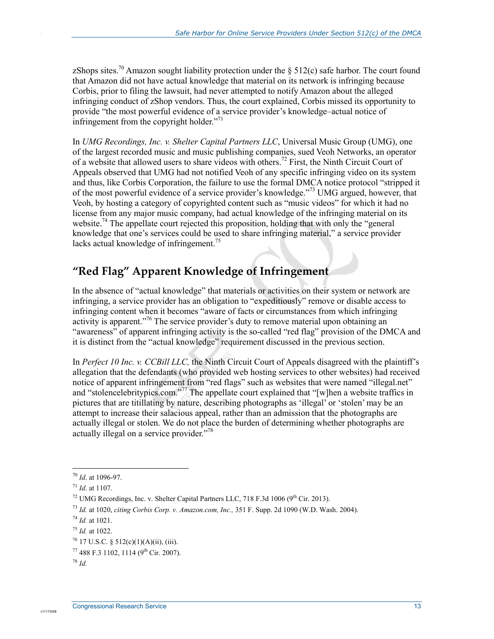zShops sites.<sup>70</sup> Amazon sought liability protection under the § 512(c) safe harbor. The court found that Amazon did not have actual knowledge that material on its network is infringing because Corbis, prior to filing the lawsuit, had never attempted to notify Amazon about the alleged infringing conduct of zShop vendors. Thus, the court explained, Corbis missed its opportunity to provide "the most powerful evidence of a service provider's knowledge–actual notice of infringement from the copyright holder. $v^{71}$ 

In *UMG Recordings, Inc. v. Shelter Capital Partners LLC*, Universal Music Group (UMG), one of the largest recorded music and music publishing companies, sued Veoh Networks, an operator of a website that allowed users to share videos with others.<sup>72</sup> First, the Ninth Circuit Court of Appeals observed that UMG had not notified Veoh of any specific infringing video on its system and thus, like Corbis Corporation, the failure to use the formal DMCA notice protocol "stripped it of the most powerful evidence of a service provider's knowledge."73 UMG argued, however, that Veoh, by hosting a category of copyrighted content such as "music videos" for which it had no license from any major music company, had actual knowledge of the infringing material on its website.<sup>74</sup> The appellate court rejected this proposition, holding that with only the "general" knowledge that one's services could be used to share infringing material," a service provider lacks actual knowledge of infringement.<sup>75</sup>

#### **"Red Flag" Apparent Knowledge of Infringement**

In the absence of "actual knowledge" that materials or activities on their system or network are infringing, a service provider has an obligation to "expeditiously" remove or disable access to infringing content when it becomes "aware of facts or circumstances from which infringing activity is apparent."<sup>76</sup> The service provider's duty to remove material upon obtaining an "awareness" of apparent infringing activity is the so-called "red flag" provision of the DMCA and it is distinct from the "actual knowledge" requirement discussed in the previous section.

In *Perfect 10 Inc. v. CCBill LLC,* the Ninth Circuit Court of Appeals disagreed with the plaintiff's allegation that the defendants (who provided web hosting services to other websites) had received notice of apparent infringement from "red flags" such as websites that were named "illegal.net" and "stolencelebritypics.com."<sup>77</sup> The appellate court explained that "[w]hen a website traffics in pictures that are titillating by nature, describing photographs as 'illegal' or 'stolen' may be an attempt to increase their salacious appeal, rather than an admission that the photographs are actually illegal or stolen. We do not place the burden of determining whether photographs are actually illegal on a service provider."<sup>78</sup>

.

<sup>1</sup> <sup>70</sup> *Id*. at 1096-97.

<sup>71</sup> *Id*. at 1107.

<sup>&</sup>lt;sup>72</sup> UMG Recordings, Inc. v. Shelter Capital Partners LLC, 718 F.3d 1006 (9<sup>th</sup> Cir. 2013).

<sup>73</sup> *Id.* at 1020, *citing Corbis Corp. v. Amazon.com, Inc.,* 351 F. Supp. 2d 1090 (W.D. Wash. 2004).

<sup>74</sup> *Id.* at 1021.

<sup>75</sup> *Id.* at 1022.

<sup>76 17</sup> U.S.C. § 512(c)(1)(A)(ii), (iii).

 $^{77}$  488 F.3 1102, 1114 (9<sup>th</sup> Cir. 2007).

<sup>78</sup> *Id.*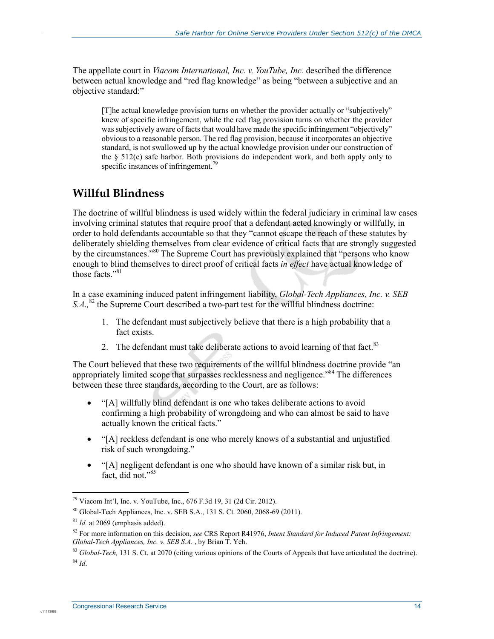The appellate court in *Viacom International, Inc. v. YouTube, Inc.* described the difference between actual knowledge and "red flag knowledge" as being "between a subjective and an objective standard:"

[T]he actual knowledge provision turns on whether the provider actually or "subjectively" knew of specific infringement, while the red flag provision turns on whether the provider was subjectively aware of facts that would have made the specific infringement "objectively" obvious to a reasonable person. The red flag provision, because it incorporates an objective standard, is not swallowed up by the actual knowledge provision under our construction of the § 512(c) safe harbor. Both provisions do independent work, and both apply only to specific instances of infringement.<sup>79</sup>

#### **Willful Blindness**

.

The doctrine of willful blindness is used widely within the federal judiciary in criminal law cases involving criminal statutes that require proof that a defendant acted knowingly or willfully, in order to hold defendants accountable so that they "cannot escape the reach of these statutes by deliberately shielding themselves from clear evidence of critical facts that are strongly suggested by the circumstances."<sup>80</sup> The Supreme Court has previously explained that "persons who know enough to blind themselves to direct proof of critical facts *in effect* have actual knowledge of those facts  $^{981}$ 

In a case examining induced patent infringement liability, *Global-Tech Appliances, Inc. v. SEB S.A.*,<sup>82</sup> the Supreme Court described a two-part test for the willful blindness doctrine:

- 1. The defendant must subjectively believe that there is a high probability that a fact exists.
- 2. The defendant must take deliberate actions to avoid learning of that fact.<sup>83</sup>

The Court believed that these two requirements of the willful blindness doctrine provide "an appropriately limited scope that surpasses recklessness and negligence."<sup>84</sup> The differences between these three standards, according to the Court, are as follows:

- "[A] willfully blind defendant is one who takes deliberate actions to avoid confirming a high probability of wrongdoing and who can almost be said to have actually known the critical facts."
- "[A] reckless defendant is one who merely knows of a substantial and unjustified risk of such wrongdoing."
- "[A] negligent defendant is one who should have known of a similar risk but, in fact, did not."<sup>85</sup>

1

 $^{79}$  Viacom Int'l, Inc. v. YouTube, Inc., 676 F.3d 19, 31 (2d Cir. 2012).

<sup>80</sup> Global-Tech Appliances, Inc. v. SEB S.A., 131 S. Ct. 2060, 2068-69 (2011).

<sup>81</sup> *Id.* at 2069 (emphasis added).

<sup>82</sup> For more information on this decision, *see* CRS Report R41976, *Intent Standard for Induced Patent Infringement: Global-Tech Appliances, Inc. v. SEB S.A.* , by Brian T. Yeh.

<sup>&</sup>lt;sup>83</sup> *Global-Tech*, 131 S. Ct. at 2070 (citing various opinions of the Courts of Appeals that have articulated the doctrine). <sup>84</sup> *Id*.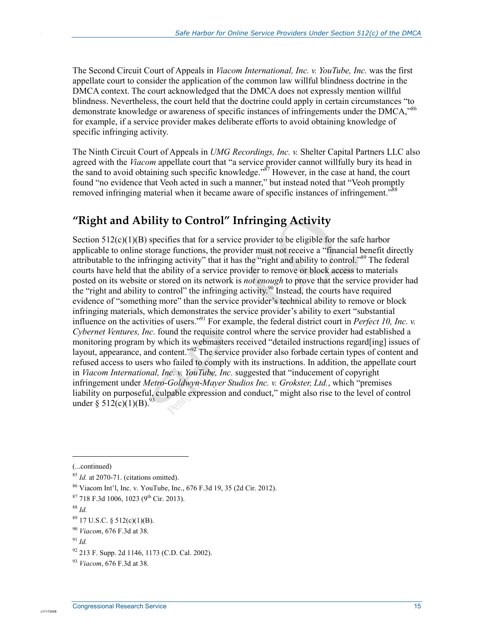The Second Circuit Court of Appeals in *Viacom International, Inc. v. YouTube, Inc.* was the first appellate court to consider the application of the common law willful blindness doctrine in the DMCA context. The court acknowledged that the DMCA does not expressly mention willful blindness. Nevertheless, the court held that the doctrine could apply in certain circumstances "to demonstrate knowledge or awareness of specific instances of infringements under the DMCA,<sup>886</sup> for example, if a service provider makes deliberate efforts to avoid obtaining knowledge of specific infringing activity.

The Ninth Circuit Court of Appeals in *UMG Recordings, Inc. v.* Shelter Capital Partners LLC also agreed with the *Viacom* appellate court that "a service provider cannot willfully bury its head in the sand to avoid obtaining such specific knowledge."<sup>87</sup> However, in the case at hand, the court found "no evidence that Veoh acted in such a manner," but instead noted that "Veoh promptly removed infringing material when it became aware of specific instances of infringement.<sup>88</sup>

### **"Right and Ability to Control" Infringing Activity**

Section  $512(c)(1)(B)$  specifies that for a service provider to be eligible for the safe harbor applicable to online storage functions, the provider must not receive a "financial benefit directly attributable to the infringing activity" that it has the "right and ability to control."<sup>89</sup> The federal courts have held that the ability of a service provider to remove or block access to materials posted on its website or stored on its network is *not enough* to prove that the service provider had the "right and ability to control" the infringing activity.<sup>90</sup> Instead, the courts have required evidence of "something more" than the service provider's technical ability to remove or block infringing materials, which demonstrates the service provider's ability to exert "substantial influence on the activities of users."91 For example, the federal district court in *Perfect 10, Inc. v. Cybernet Ventures, Inc.* found the requisite control where the service provider had established a monitoring program by which its webmasters received "detailed instructions regard[ing] issues of layout, appearance, and content."92 The service provider also forbade certain types of content and refused access to users who failed to comply with its instructions. In addition, the appellate court in *Viacom International, Inc. v. YouTube, Inc.* suggested that "inducement of copyright infringement under *Metro-Goldwyn-Mayer Studios Inc. v. Grokster, Ltd.*, which "premises liability on purposeful, culpable expression and conduct," might also rise to the level of control under  $\S 512(c)(1)(B)$ .

1

<sup>(...</sup>continued)

<sup>&</sup>lt;sup>85</sup> *Id.* at 2070-71. (citations omitted).

<sup>86</sup> Viacom Int'l, Inc. v. YouTube, Inc., 676 F.3d 19, 35 (2d Cir. 2012).

 $87$  718 F.3d 1006, 1023 (9<sup>th</sup> Cir. 2013).

<sup>88</sup> *Id.* 

 $89$  17 U.S.C. § 512(c)(1)(B).

<sup>90</sup> *Viacom*, 676 F.3d at 38.

<sup>91</sup> *Id.*

<sup>92 213</sup> F. Supp. 2d 1146, 1173 (C.D. Cal. 2002).

<sup>93</sup> *Viacom*, 676 F.3d at 38.